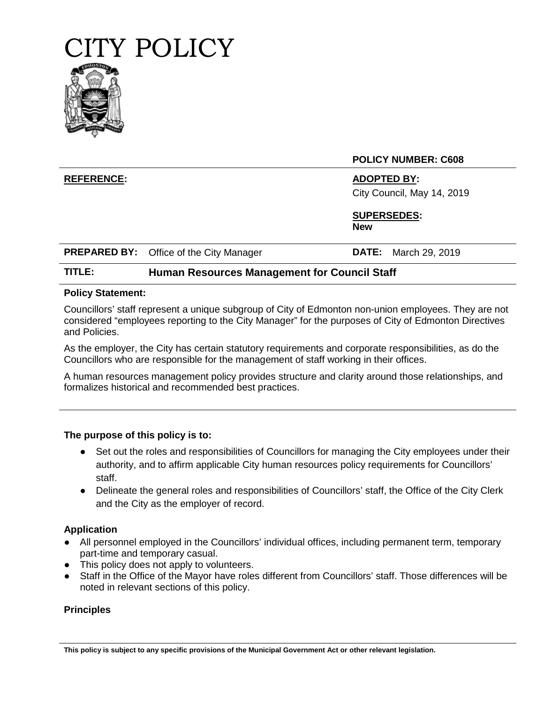

#### **POLICY NUMBER: C608**

**REFERENCE: ADOPTED BY:** City Council, May 14, 2019

> **SUPERSEDES: New**

|  | <b>PREPARED BY:</b> Office of the City Manager |  | <b>DATE:</b> March 29, 2019 |
|--|------------------------------------------------|--|-----------------------------|
|--|------------------------------------------------|--|-----------------------------|

#### **TITLE: Human Resources Management for Council Staff**

#### **Policy Statement:**

Councillors' staff represent a unique subgroup of City of Edmonton non-union employees. They are not considered "employees reporting to the City Manager" for the purposes of City of Edmonton Directives and Policies.

As the employer, the City has certain statutory requirements and corporate responsibilities, as do the Councillors who are responsible for the management of staff working in their offices.

A human resources management policy provides structure and clarity around those relationships, and formalizes historical and recommended best practices.

#### **The purpose of this policy is to:**

- Set out the roles and responsibilities of Councillors for managing the City employees under their authority, and to affirm applicable City human resources policy requirements for Councillors' staff.
- Delineate the general roles and responsibilities of Councillors' staff, the Office of the City Clerk and the City as the employer of record.

#### **Application**

- All personnel employed in the Councillors' individual offices, including permanent term, temporary part-time and temporary casual.
- This policy does not apply to volunteers.
- Staff in the Office of the Mayor have roles different from Councillors' staff. Those differences will be noted in relevant sections of this policy.

#### **Principles**

**This policy is subject to any specific provisions of the Municipal Government Act or other relevant legislation.**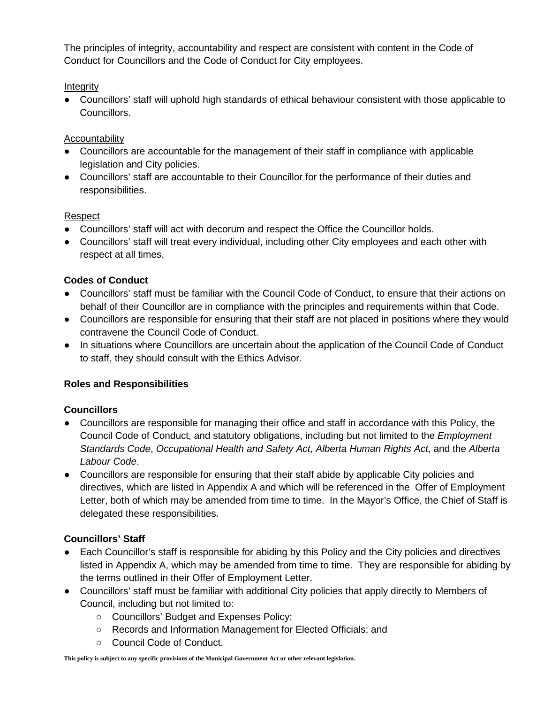The principles of integrity, accountability and respect are consistent with content in the Code of Conduct for Councillors and the Code of Conduct for City employees.

# **Integrity**

● Councillors' staff will uphold high standards of ethical behaviour consistent with those applicable to Councillors.

### Accountability

- Councillors are accountable for the management of their staff in compliance with applicable legislation and City policies.
- Councillors' staff are accountable to their Councillor for the performance of their duties and responsibilities.

#### Respect

- Councillors' staff will act with decorum and respect the Office the Councillor holds.
- Councillors' staff will treat every individual, including other City employees and each other with respect at all times.

# **Codes of Conduct**

- Councillors' staff must be familiar with the Council Code of Conduct, to ensure that their actions on behalf of their Councillor are in compliance with the principles and requirements within that Code.
- Councillors are responsible for ensuring that their staff are not placed in positions where they would contravene the Council Code of Conduct.
- In situations where Councillors are uncertain about the application of the Council Code of Conduct to staff, they should consult with the Ethics Advisor.

# **Roles and Responsibilities**

#### **Councillors**

- Councillors are responsible for managing their office and staff in accordance with this Policy, the Council Code of Conduct, and statutory obligations, including but not limited to the *Employment Standards Code*, *Occupational Health and Safety Act*, *Alberta Human Rights Act*, and the *Alberta Labour Code*.
- Councillors are responsible for ensuring that their staff abide by applicable City policies and directives, which are listed in Appendix A and which will be referenced in the Offer of Employment Letter, both of which may be amended from time to time. In the Mayor's Office, the Chief of Staff is delegated these responsibilities.

# **Councillors' Staff**

- Each Councillor's staff is responsible for abiding by this Policy and the City policies and directives listed in Appendix A, which may be amended from time to time. They are responsible for abiding by the terms outlined in their Offer of Employment Letter.
- Councillors' staff must be familiar with additional City policies that apply directly to Members of Council, including but not limited to:
	- Councillors' Budget and Expenses Policy;
	- Records and Information Management for Elected Officials; and
	- Council Code of Conduct.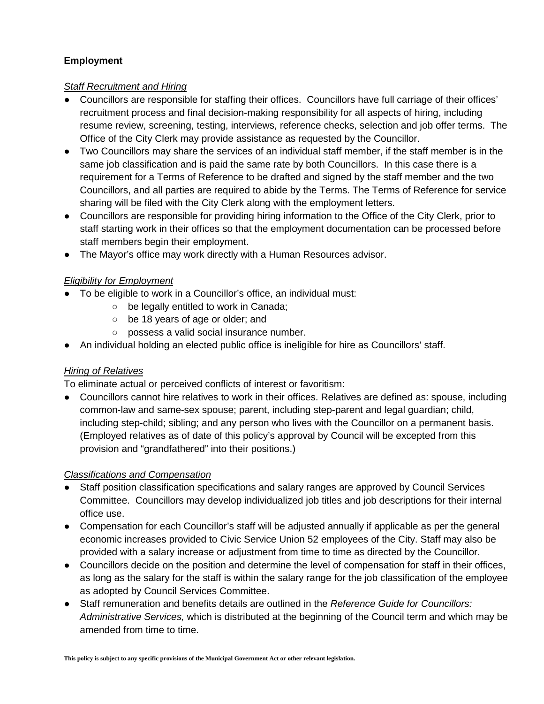# **Employment**

### *Staff Recruitment and Hiring*

- Councillors are responsible for staffing their offices. Councillors have full carriage of their offices' recruitment process and final decision-making responsibility for all aspects of hiring, including resume review, screening, testing, interviews, reference checks, selection and job offer terms. The Office of the City Clerk may provide assistance as requested by the Councillor.
- Two Councillors may share the services of an individual staff member, if the staff member is in the same job classification and is paid the same rate by both Councillors. In this case there is a requirement for a Terms of Reference to be drafted and signed by the staff member and the two Councillors, and all parties are required to abide by the Terms. The Terms of Reference for service sharing will be filed with the City Clerk along with the employment letters.
- Councillors are responsible for providing hiring information to the Office of the City Clerk, prior to staff starting work in their offices so that the employment documentation can be processed before staff members begin their employment.
- The Mayor's office may work directly with a Human Resources advisor.

# *Eligibility for Employment*

- To be eligible to work in a Councillor's office, an individual must:
	- be legally entitled to work in Canada;
	- be 18 years of age or older; and
	- possess a valid social insurance number.
- An individual holding an elected public office is ineligible for hire as Councillors' staff.

# *Hiring of Relatives*

To eliminate actual or perceived conflicts of interest or favoritism:

● Councillors cannot hire relatives to work in their offices. Relatives are defined as: spouse, including common-law and same-sex spouse; parent, including step-parent and legal guardian; child, including step-child; sibling; and any person who lives with the Councillor on a permanent basis. (Employed relatives as of date of this policy's approval by Council will be excepted from this provision and "grandfathered" into their positions.)

# *Classifications and Compensation*

- Staff position classification specifications and salary ranges are approved by Council Services Committee. Councillors may develop individualized job titles and job descriptions for their internal office use.
- Compensation for each Councillor's staff will be adjusted annually if applicable as per the general economic increases provided to Civic Service Union 52 employees of the City. Staff may also be provided with a salary increase or adjustment from time to time as directed by the Councillor.
- Councillors decide on the position and determine the level of compensation for staff in their offices, as long as the salary for the staff is within the salary range for the job classification of the employee as adopted by Council Services Committee.
- Staff remuneration and benefits details are outlined in the *Reference Guide for Councillors: Administrative Services,* which is distributed at the beginning of the Council term and which may be amended from time to time.